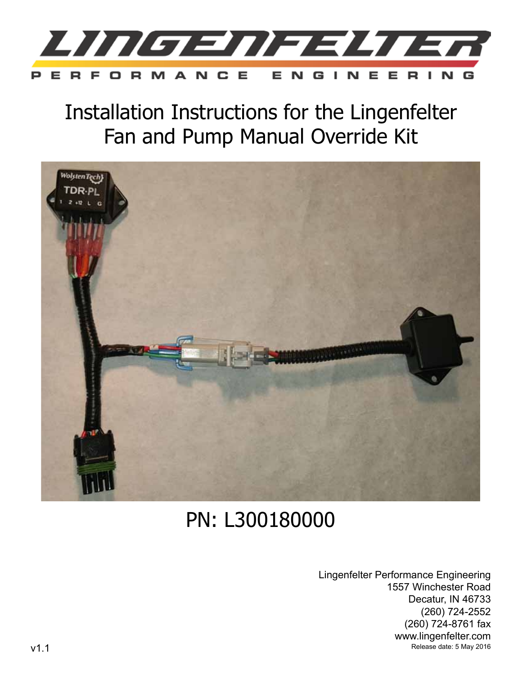

Installation Instructions for the Lingenfelter Fan and Pump Manual Override Kit



# PN: L300180000

Lingenfelter Performance Engineering 1557 Winchester Road Decatur, IN 46733 (260) 724-2552 (260) 724-8761 fax www.lingenfelter.com v1.1 Release date: 5 May 2016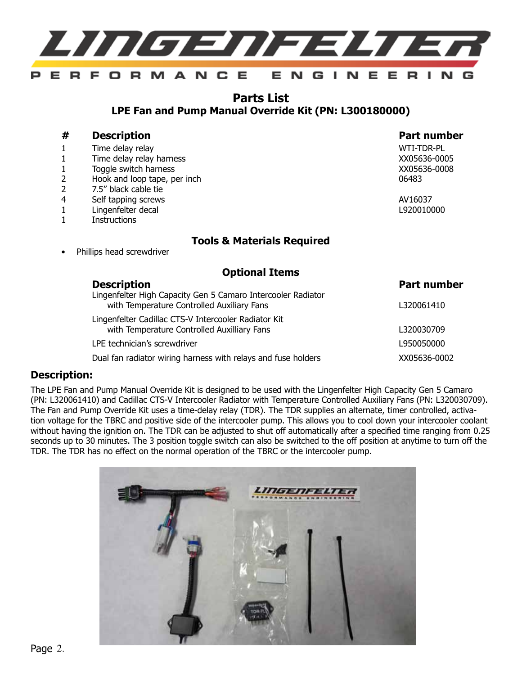

# **Parts List LPE Fan and Pump Manual Override Kit (PN: L300180000)**

# **# Description Part number** 1 Time delay relayWTI-TDR-PL 1 Time delay relay harness XX05636-0005

#### 1 Toggle switch harness XX05636-0008

- 2 Hook and loop tape, per inch 06483
- 2 7.5" black cable tie
- 4 Self tapping screws AV16037
- 1 Lingenfelter decal L920010000
- 1 Instructions

# **Tools & Materials Required**

Phillips head screwdriver

## **Optional Items**

| <b>Description</b>                                                                                         | <b>Part number</b> |
|------------------------------------------------------------------------------------------------------------|--------------------|
| Lingenfelter High Capacity Gen 5 Camaro Intercooler Radiator<br>with Temperature Controlled Auxiliary Fans | L320061410         |
| Lingenfelter Cadillac CTS-V Intercooler Radiator Kit<br>with Temperature Controlled Auxilliary Fans        | L320030709         |
| LPE technician's screwdriver                                                                               | L950050000         |
| Dual fan radiator wiring harness with relays and fuse holders                                              | XX05636-0002       |

## **Description:**

The LPE Fan and Pump Manual Override Kit is designed to be used with the Lingenfelter High Capacity Gen 5 Camaro (PN: L320061410) and Cadillac CTS-V Intercooler Radiator with Temperature Controlled Auxiliary Fans (PN: L320030709). The Fan and Pump Override Kit uses a time-delay relay (TDR). The TDR supplies an alternate, timer controlled, activation voltage for the TBRC and positive side of the intercooler pump. This allows you to cool down your intercooler coolant without having the ignition on. The TDR can be adjusted to shut off automatically after a specified time ranging from 0.25 seconds up to 30 minutes. The 3 position toggle switch can also be switched to the off position at anytime to turn off the TDR. The TDR has no effect on the normal operation of the TBRC or the intercooler pump.

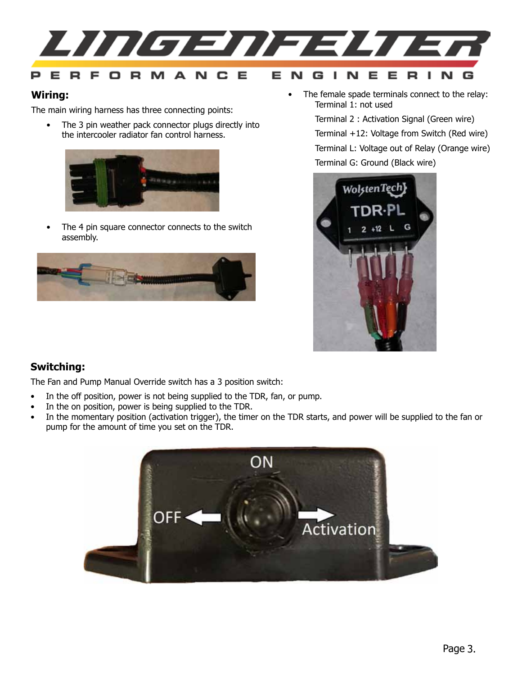

## **Wiring:**

The main wiring harness has three connecting points:

• The 3 pin weather pack connector plugs directly into the intercooler radiator fan control harness.



• The 4 pin square connector connects to the switch assembly.



• The female spade terminals connect to the relay: Terminal 1: not used

Terminal 2 : Activation Signal (Green wire)

Terminal +12: Voltage from Switch (Red wire)

Terminal L: Voltage out of Relay (Orange wire) Terminal G: Ground (Black wire)



# **Switching:**

The Fan and Pump Manual Override switch has a 3 position switch:

- In the off position, power is not being supplied to the TDR, fan, or pump.
- In the on position, power is being supplied to the TDR.
- In the momentary position (activation trigger), the timer on the TDR starts, and power will be supplied to the fan or pump for the amount of time you set on the TDR.

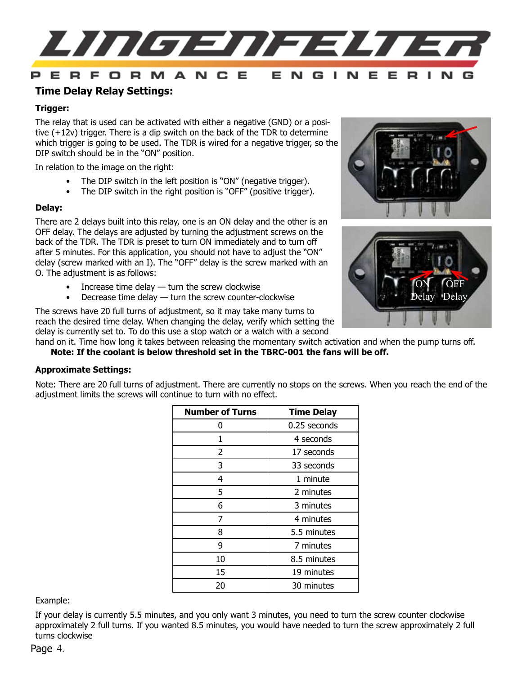

# **Time Delay Relay Settings:**

### **Trigger:**

The relay that is used can be activated with either a negative (GND) or a positive  $(+12v)$  trigger. There is a dip switch on the back of the TDR to determine which trigger is going to be used. The TDR is wired for a negative trigger, so the DIP switch should be in the "ON" position.

In relation to the image on the right:

- The DIP switch in the left position is "ON" (negative trigger).
- The DIP switch in the right position is "OFF" (positive trigger).

#### **Delay:**

There are 2 delays built into this relay, one is an ON delay and the other is an OFF delay. The delays are adjusted by turning the adjustment screws on the back of the TDR. The TDR is preset to turn ON immediately and to turn off after 5 minutes. For this application, you should not have to adjust the "ON" delay (screw marked with an I). The "OFF" delay is the screw marked with an O. The adjustment is as follows:

- $\bullet$  Increase time delay  $-$  turn the screw clockwise
- Decrease time delay  $-$  turn the screw counter-clockwise

The screws have 20 full turns of adjustment, so it may take many turns to reach the desired time delay. When changing the delay, verify which setting the delay is currently set to. To do this use a stop watch or a watch with a second





hand on it. Time how long it takes between releasing the momentary switch activation and when the pump turns off.

**Note: If the coolant is below threshold set in the TBRC-001 the fans will be off.**

#### **Approximate Settings:**

Note: There are 20 full turns of adjustment. There are currently no stops on the screws. When you reach the end of the adjustment limits the screws will continue to turn with no effect.

| <b>Number of Turns</b> | <b>Time Delay</b> |
|------------------------|-------------------|
| O                      | 0.25 seconds      |
| 1                      | 4 seconds         |
| $\overline{2}$         | 17 seconds        |
| 3                      | 33 seconds        |
| 4                      | 1 minute          |
| 5                      | 2 minutes         |
| 6                      | 3 minutes         |
| 7                      | 4 minutes         |
| 8                      | 5.5 minutes       |
| 9                      | 7 minutes         |
| 10                     | 8.5 minutes       |
| 15                     | 19 minutes        |
| 20                     | 30 minutes        |

#### Example:

If your delay is currently 5.5 minutes, and you only want 3 minutes, you need to turn the screw counter clockwise approximately 2 full turns. If you wanted 8.5 minutes, you would have needed to turn the screw approximately 2 full turns clockwise